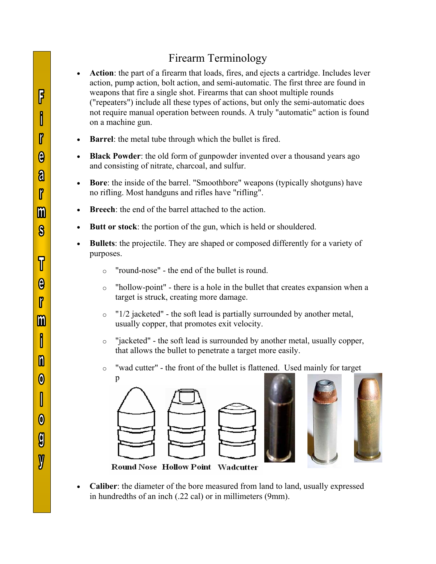## Firearm Terminology

- **Action**: the part of a firearm that loads, fires, and ejects a cartridge. Includes lever action, pump action, bolt action, and semi-automatic. The first three are found in weapons that fire a single shot. Firearms that can shoot multiple rounds ("repeaters") include all these types of actions, but only the semi-automatic does not require manual operation between rounds. A truly "automatic" action is found on a machine gun.
- **Barrel:** the metal tube through which the bullet is fired.
- **Black Powder**: the old form of gunpowder invented over a thousand years ago and consisting of nitrate, charcoal, and sulfur.
- **Bore**: the inside of the barrel. "Smoothbore" weapons (typically shotguns) have no rifling. Most handguns and rifles have "rifling".
- **Breech:** the end of the barrel attached to the action.
- Butt or stock: the portion of the gun, which is held or shouldered.
- **Bullets**: the projectile. They are shaped or composed differently for a variety of purposes.
	- o "round-nose" the end of the bullet is round.
	- o "hollow-point" there is a hole in the bullet that creates expansion when a target is struck, creating more damage.
	- $\circ$  "1/2 jacketed" the soft lead is partially surrounded by another metal, usually copper, that promotes exit velocity.
	- o "jacketed" the soft lead is surrounded by another metal, usually copper, that allows the bullet to penetrate a target more easily.
	- o "wad cutter" the front of the bullet is flattened. Used mainly for target







Round Nose Hollow Point Wadcutter

• Caliber: the diameter of the bore measured from land to land, usually expressed in hundredths of an inch (.22 cal) or in millimeters (9mm).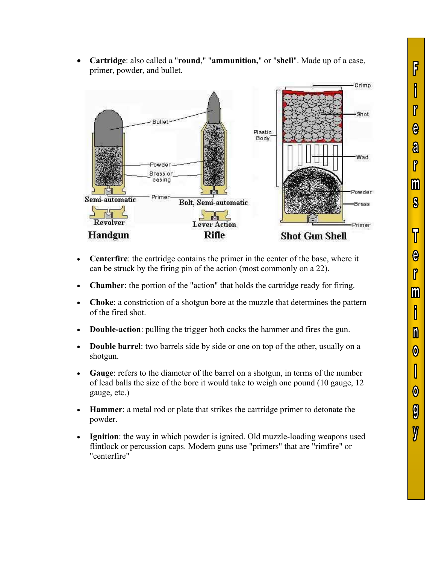



- Centerfire: the cartridge contains the primer in the center of the base, where it can be struck by the firing pin of the action (most commonly on a 22).
- **Chamber**: the portion of the "action" that holds the cartridge ready for firing.
- x **Choke**: a constriction of a shotgun bore at the muzzle that determines the pattern of the fired shot.
- **Double-action**: pulling the trigger both cocks the hammer and fires the gun.
- **Double barrel**: two barrels side by side or one on top of the other, usually on a shotgun.
- x **Gauge**: refers to the diameter of the barrel on a shotgun, in terms of the number of lead balls the size of the bore it would take to weigh one pound (10 gauge, 12 gauge, etc.)
- x **Hammer**: a metal rod or plate that strikes the cartridge primer to detonate the powder.
- **Ignition**: the way in which powder is ignited. Old muzzle-loading weapons used flintlock or percussion caps. Modern guns use "primers" that are "rimfire" or "centerfire"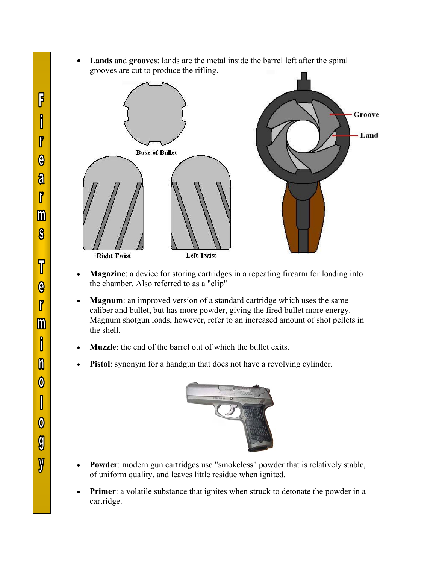x **Lands** and **grooves**: lands are the metal inside the barrel left after the spiral grooves are cut to produce the rifling.



- **Magazine**: a device for storing cartridges in a repeating firearm for loading into the chamber. Also referred to as a "clip"
- Magnum: an improved version of a standard cartridge which uses the same caliber and bullet, but has more powder, giving the fired bullet more energy. Magnum shotgun loads, however, refer to an increased amount of shot pellets in the shell.
- **Muzzle**: the end of the barrel out of which the bullet exits.
- Pistol: synonym for a handgun that does not have a revolving cylinder.



- Powder: modern gun cartridges use "smokeless" powder that is relatively stable, of uniform quality, and leaves little residue when ignited.
- Primer: a volatile substance that ignites when struck to detonate the powder in a cartridge.